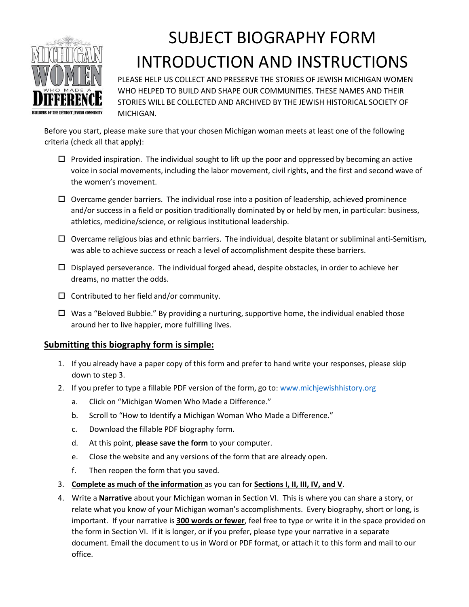

# SUBJECT BIOGRAPHY FORM INTRODUCTION AND INSTRUCTIONS

PLEASE HELP US COLLECT AND PRESERVE THE STORIES OF JEWISH MICHIGAN WOMEN WHO HELPED TO BUILD AND SHAPE OUR COMMUNITIES. THESE NAMES AND THEIR STORIES WILL BE COLLECTED AND ARCHIVED BY THE JEWISH HISTORICAL SOCIETY OF MICHIGAN.

Before you start, please make sure that your chosen Michigan woman meets at least one of the following criteria (check all that apply):

- $\Box$  Provided inspiration. The individual sought to lift up the poor and oppressed by becoming an active voice in social movements, including the labor movement, civil rights, and the first and second wave of the women's movement.
- $\Box$  Overcame gender barriers. The individual rose into a position of leadership, achieved prominence and/or success in a field or position traditionally dominated by or held by men, in particular: business, athletics, medicine/science, or religious institutional leadership.
- $\Box$  Overcame religious bias and ethnic barriers. The individual, despite blatant or subliminal anti-Semitism, was able to achieve success or reach a level of accomplishment despite these barriers.
- $\square$  Displayed perseverance. The individual forged ahead, despite obstacles, in order to achieve her dreams, no matter the odds.
- $\square$  Contributed to her field and/or community.
- $\Box$  Was a "Beloved Bubbie." By providing a nurturing, supportive home, the individual enabled those around her to live happier, more fulfilling lives.

#### **Submitting this biography form is simple:**

- 1. If you already have a paper copy of this form and prefer to hand write your responses, please skip down to step 3.
- 2. If you prefer to type a fillable PDF version of the form, go to[: www.michjewishhistory.org](http://www.michjewishhistory.org/)
	- a. Click on "Michigan Women Who Made a Difference."
	- b. Scroll to "How to Identify a Michigan Woman Who Made a Difference."
	- c. Download the fillable PDF biography form.
	- d. At this point, **please save the form** to your computer.
	- e. Close the website and any versions of the form that are already open.
	- f. Then reopen the form that you saved.
- 3. **Complete as much of the information** as you can for **Sections I, II, III, IV, and V**.
- 4. Write a **Narrative** about your Michigan woman in Section VI. This is where you can share a story, or relate what you know of your Michigan woman's accomplishments. Every biography, short or long, is important. If your narrative is **300 words or fewer**, feel free to type or write it in the space provided on the form in Section VI. If it is longer, or if you prefer, please type your narrative in a separate document. Email the document to us in Word or PDF format, or attach it to this form and mail to our office.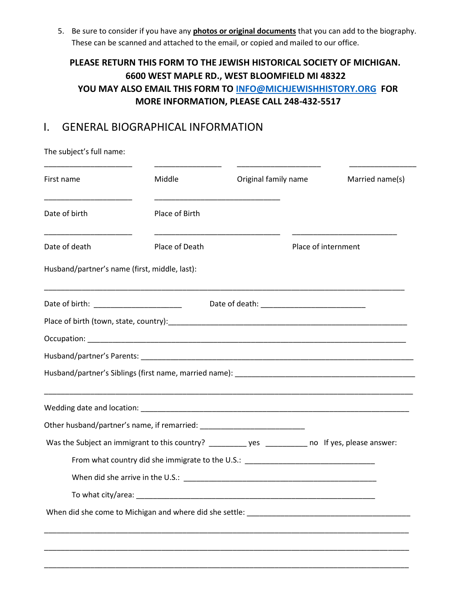5. Be sure to consider if you have any **photos or original documents** that you can add to the biography. These can be scanned and attached to the email, or copied and mailed to our office.

### **PLEASE RETURN THIS FORM TO THE JEWISH HISTORICAL SOCIETY OF MICHIGAN. 6600 WEST MAPLE RD., WEST BLOOMFIELD MI 48322 YOU MAY ALSO EMAIL THIS FORM TO INFO@MICHJEWISHHISTORY.ORG FOR MORE INFORMATION, PLEASE CALL 248-432-5517**

## I. GENERAL BIOGRAPHICAL INFORMATION

The subject's full name:

| First name                                    | Middle         | Original family name                                                                                                 | Married name(s)     |  |
|-----------------------------------------------|----------------|----------------------------------------------------------------------------------------------------------------------|---------------------|--|
| Date of birth                                 | Place of Birth | <u> 1980 - Johann Barn, mars eta bainar eta bainar eta baina eta baina eta baina eta baina eta baina eta baina e</u> |                     |  |
| Date of death                                 | Place of Death |                                                                                                                      | Place of internment |  |
| Husband/partner's name (first, middle, last): |                |                                                                                                                      |                     |  |
| Date of birth: ______________________         |                |                                                                                                                      |                     |  |
|                                               |                |                                                                                                                      |                     |  |
|                                               |                |                                                                                                                      |                     |  |
|                                               |                |                                                                                                                      |                     |  |
|                                               |                |                                                                                                                      |                     |  |
|                                               |                |                                                                                                                      |                     |  |
|                                               |                |                                                                                                                      |                     |  |
|                                               |                | Was the Subject an immigrant to this country? __________ yes __________ no If yes, please answer:                    |                     |  |
|                                               |                | From what country did she immigrate to the U.S.: _______________________________                                     |                     |  |
|                                               |                |                                                                                                                      |                     |  |
|                                               |                |                                                                                                                      |                     |  |
|                                               |                |                                                                                                                      |                     |  |
|                                               |                |                                                                                                                      |                     |  |
|                                               |                |                                                                                                                      |                     |  |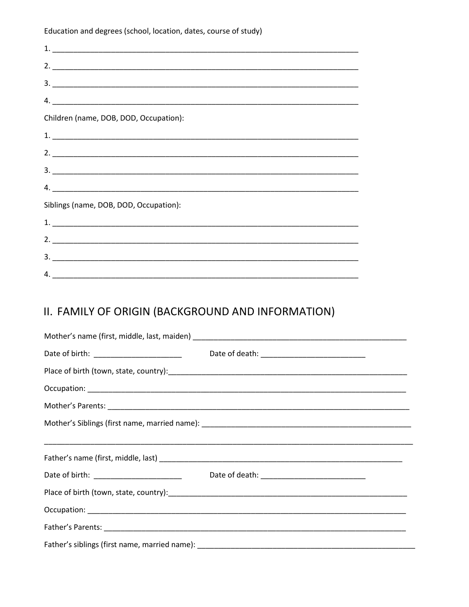Education and degrees (school, location, dates, course of study)

| $\mathcal{A} \cdot \underline{\hspace{2cm}}$ |  |
|----------------------------------------------|--|
| Children (name, DOB, DOD, Occupation):       |  |
|                                              |  |
|                                              |  |
|                                              |  |
|                                              |  |
| Siblings (name, DOB, DOD, Occupation):       |  |
|                                              |  |
|                                              |  |
|                                              |  |
| 4.                                           |  |

# II. FAMILY OF ORIGIN (BACKGROUND AND INFORMATION)

| Date of birth: ________________________ |  |  |  |  |  |
|-----------------------------------------|--|--|--|--|--|
|                                         |  |  |  |  |  |
|                                         |  |  |  |  |  |
|                                         |  |  |  |  |  |
|                                         |  |  |  |  |  |
|                                         |  |  |  |  |  |
|                                         |  |  |  |  |  |
|                                         |  |  |  |  |  |
|                                         |  |  |  |  |  |
|                                         |  |  |  |  |  |
|                                         |  |  |  |  |  |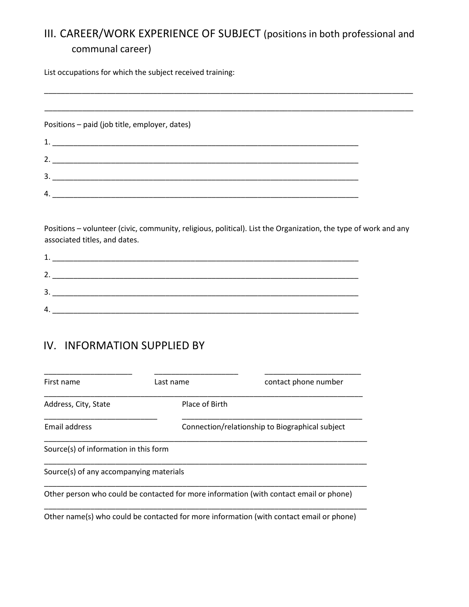## III. CAREER/WORK EXPERIENCE OF SUBJECT (positions in both professional and communal career)

\_\_\_\_\_\_\_\_\_\_\_\_\_\_\_\_\_\_\_\_\_\_\_\_\_\_\_\_\_\_\_\_\_\_\_\_\_\_\_\_\_\_\_\_\_\_\_\_\_\_\_\_\_\_\_\_\_\_\_\_\_\_\_\_\_\_\_\_\_\_\_\_\_\_\_\_\_\_\_\_\_\_\_\_\_\_\_\_

\_\_\_\_\_\_\_\_\_\_\_\_\_\_\_\_\_\_\_\_\_\_\_\_\_\_\_\_\_\_\_\_\_\_\_\_\_\_\_\_\_\_\_\_\_\_\_\_\_\_\_\_\_\_\_\_\_\_\_\_\_\_\_\_\_\_\_\_\_\_\_\_\_\_\_\_\_\_\_\_\_\_\_\_\_\_\_\_

List occupations for which the subject received training:

Positions – paid (job title, employer, dates) 1. \_\_\_\_\_\_\_\_\_\_\_\_\_\_\_\_\_\_\_\_\_\_\_\_\_\_\_\_\_\_\_\_\_\_\_\_\_\_\_\_\_\_\_\_\_\_\_\_\_\_\_\_\_\_\_\_\_\_\_\_\_\_\_\_\_\_\_\_\_\_\_\_\_ 2. \_\_\_\_\_\_\_\_\_\_\_\_\_\_\_\_\_\_\_\_\_\_\_\_\_\_\_\_\_\_\_\_\_\_\_\_\_\_\_\_\_\_\_\_\_\_\_\_\_\_\_\_\_\_\_\_\_\_\_\_\_\_\_\_\_\_\_\_\_\_\_\_\_ 3. \_\_\_\_\_\_\_\_\_\_\_\_\_\_\_\_\_\_\_\_\_\_\_\_\_\_\_\_\_\_\_\_\_\_\_\_\_\_\_\_\_\_\_\_\_\_\_\_\_\_\_\_\_\_\_\_\_\_\_\_\_\_\_\_\_\_\_\_\_\_\_\_\_  $4.$ 

Positions – volunteer (civic, community, religious, political). List the Organization, the type of work and any associated titles, and dates.

| 7  |  |
|----|--|
| 3. |  |
| 4  |  |

## IV. INFORMATION SUPPLIED BY

| First name                              | Last name                                       | contact phone number                                                                    |
|-----------------------------------------|-------------------------------------------------|-----------------------------------------------------------------------------------------|
| Address, City, State                    | Place of Birth                                  |                                                                                         |
| Email address                           | Connection/relationship to Biographical subject |                                                                                         |
| Source(s) of information in this form   |                                                 |                                                                                         |
| Source(s) of any accompanying materials |                                                 |                                                                                         |
|                                         |                                                 | Other person who could be contacted for more information (with contact email or phone)  |
|                                         |                                                 | Other name(s) who could be contacted for more information (with contact email or phone) |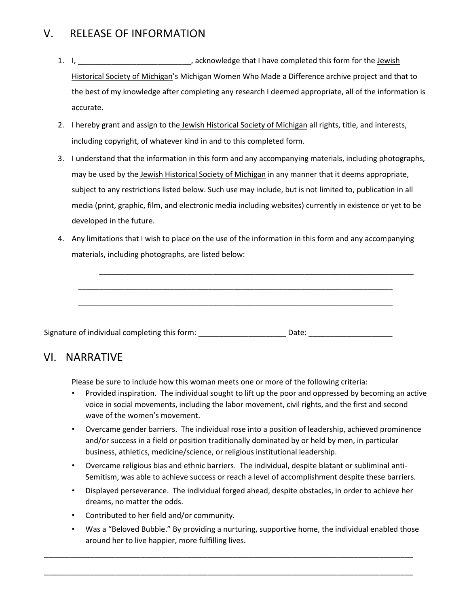## V. RELEASE OF INFORMATION

- 1. I, \_\_\_\_\_\_\_\_\_\_\_\_\_\_\_\_\_\_\_\_\_\_\_\_\_\_\_, acknowledge that I have completed this form for the Jewish Historical Society of Michigan's Michigan Women Who Made a Difference archive project and that to the best of my knowledge after completing any research I deemed appropriate, all of the information is accurate.
- 2. I hereby grant and assign to the Jewish Historical Society of Michigan all rights, title, and interests, including copyright, of whatever kind in and to this completed form.
- 3. I understand that the information in this form and any accompanying materials, including photographs, may be used by the Jewish Historical Society of Michigan in any manner that it deems appropriate, subject to any restrictions listed below. Such use may include, but is not limited to, publication in all media (print, graphic, film, and electronic media including websites) currently in existence or yet to be developed in the future.
- 4. Any limitations that I wish to place on the use of the information in this form and any accompanying materials, including photographs, are listed below:

\_\_\_\_\_\_\_\_\_\_\_\_\_\_\_\_\_\_\_\_\_\_\_\_\_\_\_\_\_\_\_\_\_\_\_\_\_\_\_\_\_\_\_\_\_\_\_\_\_\_\_\_\_\_\_\_\_\_\_\_\_\_\_\_\_\_\_\_\_\_\_\_\_\_\_

\_\_\_\_\_\_\_\_\_\_\_\_\_\_\_\_\_\_\_\_\_\_\_\_\_\_\_\_\_\_\_\_\_\_\_\_\_\_\_\_\_\_\_\_\_\_\_\_\_\_\_\_\_\_\_\_\_\_\_\_\_\_\_\_\_\_\_\_\_\_\_\_\_\_\_

\_\_\_\_\_\_\_\_\_\_\_\_\_\_\_\_\_\_\_\_\_\_\_\_\_\_\_\_\_\_\_\_\_\_\_\_\_\_\_\_\_\_\_\_\_\_\_\_\_\_\_\_\_\_\_\_\_\_\_\_\_\_\_\_\_\_\_\_\_\_\_\_\_\_\_

| Signature of individual completing this form: | Date: |
|-----------------------------------------------|-------|
|                                               |       |

## VI.NARRATIVE

Please be sure to include how this woman meets one or more of the following criteria:

- Provided inspiration. The individual sought to lift up the poor and oppressed by becoming an active voice in social movements, including the labor movement, civil rights, and the first and second wave of the women's movement.
- Overcame gender barriers. The individual rose into a position of leadership, achieved prominence and/or success in a field or position traditionally dominated by or held by men, in particular business, athletics, medicine/science, or religious institutional leadership.
- Overcame religious bias and ethnic barriers. The individual, despite blatant or subliminal anti-Semitism, was able to achieve success or reach a level of accomplishment despite these barriers.
- Displayed perseverance. The individual forged ahead, despite obstacles, in order to achieve her dreams, no matter the odds.
- Contributed to her field and/or community.
- Was a "Beloved Bubbie." By providing a nurturing, supportive home, the individual enabled those around her to live happier, more fulfilling lives.

\_\_\_\_\_\_\_\_\_\_\_\_\_\_\_\_\_\_\_\_\_\_\_\_\_\_\_\_\_\_\_\_\_\_\_\_\_\_\_\_\_\_\_\_\_\_\_\_\_\_\_\_\_\_\_\_\_\_\_\_\_\_\_\_\_\_\_\_\_\_\_\_\_\_\_\_\_\_\_\_\_\_\_\_\_\_\_\_

\_\_\_\_\_\_\_\_\_\_\_\_\_\_\_\_\_\_\_\_\_\_\_\_\_\_\_\_\_\_\_\_\_\_\_\_\_\_\_\_\_\_\_\_\_\_\_\_\_\_\_\_\_\_\_\_\_\_\_\_\_\_\_\_\_\_\_\_\_\_\_\_\_\_\_\_\_\_\_\_\_\_\_\_\_\_\_\_